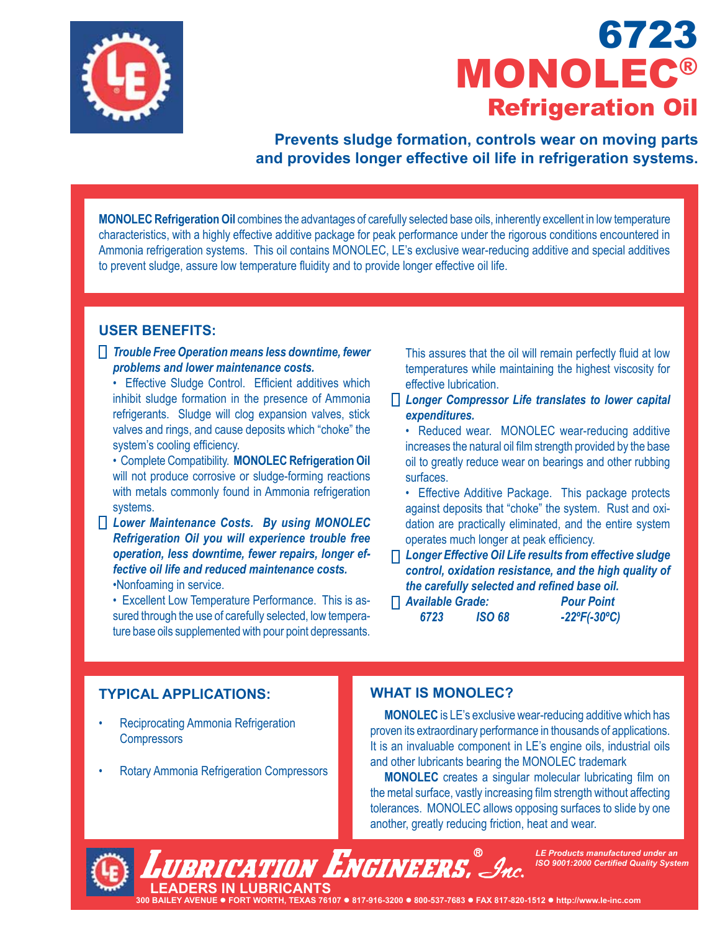

# 6723 **MONOLEC®** Refrigeration Oil

**Prevents sludge formation, controls wear on moving parts and provides longer effective oil life in refrigeration systems.**

**MONOLEC Refrigeration Oil** combines the advantages of carefully selected base oils, inherently excellent in low temperature characteristics, with a highly effective additive package for peak performance under the rigorous conditions encountered in Ammonia refrigeration systems. This oil contains MONOLEC, LE's exclusive wear-reducing additive and special additives to prevent sludge, assure low temperature fluidity and to provide longer effective oil life.

#### **USER BENEFITS:**

- *Trouble Free Operation means less downtime, fewer problems and lower maintenance costs.*
	- Effective Sludge Control. Efficient additives which inhibit sludge formation in the presence of Ammonia refrigerants. Sludge will clog expansion valves, stick valves and rings, and cause deposits which "choke" the system's cooling efficiency.
	- Complete Compatibility. **MONOLEC Refrigeration Oil** will not produce corrosive or sludge-forming reactions with metals commonly found in Ammonia refrigeration systems.
- *Lower Maintenance Costs. By using MONOLEC Refrigeration Oil you will experience trouble free operation, less downtime, fewer repairs, longer effective oil life and reduced maintenance costs.* •Nonfoaming in service.
	- Excellent Low Temperature Performance. This is assured through the use of carefully selected, low temperature base oils supplemented with pour point depressants.

This assures that the oil will remain perfectly fluid at low temperatures while maintaining the highest viscosity for effective lubrication.

*Longer Compressor Life translates to lower capital expenditures.*

• Reduced wear. MONOLEC wear-reducing additive increases the natural oil film strength provided by the base oil to greatly reduce wear on bearings and other rubbing surfaces.

• Effective Additive Package. This package protects against deposits that "choke" the system. Rust and oxidation are practically eliminated, and the entire system operates much longer at peak efficiency.

- *Longer Effective Oil Life results from effective sludge control, oxidation resistance, and the high quality of the carefully selected and refined base oil.*
- *Available Grade: Pour Point 6723 ISO 68 -22ºF(-30ºC)*

## **TYPICAL APPLICATIONS:**

- Reciprocating Ammonia Refrigeration **Compressors**
- Rotary Ammonia Refrigeration Compressors

#### **WHAT IS MONOLEC?**

**MONOLEC** is LE's exclusive wear-reducing additive which has proven its extraordinary performance in thousands of applications. It is an invaluable component in LE's engine oils, industrial oils and other lubricants bearing the MONOLEC trademark

**MONOLEC** creates a singular molecular lubricating film on the metal surface, vastly increasing film strength without affecting tolerances. MONOLEC allows opposing surfaces to slide by one another, greatly reducing friction, heat and wear.



*LE Products manufactured under an ISO 9001:2000 Certified Quality System*

**300 BAILEY AVENUE FORT WORTH, TEXAS 76107 817-916-3200 800-537-7683 FAX 817-820-1512 http://www.le-inc.com**

*ENGINEERS, Inder CATION ENGINEERS, Inder*